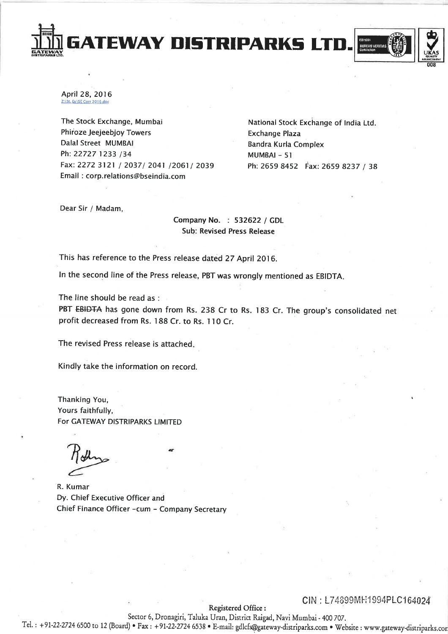April 28, 2016 Z:\St, Ex\SE Corr 2016.doc

The Stock Exchange, Mumbai Phiroze Jeejeebjoy Towers Dalal Street MUMBAI Ph: 22727 1233 /34 Fax: 2272 3121 / 2037/ 2041 /2061/ 2039 Email: corp.relations@bseindia.com

National Stock Exchange of India Ltd. **Exchange Plaza Bandra Kurla Complex** MUMBAI-51 Ph: 2659 8452 Fax: 2659 8237 / 38

**BUREAU VERITAS** 

Dear Sir / Madam,

Company No. : 532622 / GDL **Sub: Revised Press Release** 

This has reference to the Press release dated 27 April 2016.

In the second line of the Press release, PBT was wrongly mentioned as EBIDTA.

**GATEWAY DISTRIPARKS LT** 

The line should be read as :

PBT EBIDTA has gone down from Rs. 238 Cr to Rs. 183 Cr. The group's consolidated net profit decreased from Rs. 188 Cr. to Rs. 110 Cr.

The revised Press release is attached.

Kindly take the information on record.

Thanking You, Yours faithfully, For GATEWAY DISTRIPARKS LIMITED

R. Kumar Dy. Chief Executive Officer and Chief Finance Officer - cum - Company Secretary

# CIN: L74899MH1994PLC164024

Registered Office:

Sector 6, Dronagiri, Taluka Uran, District Raigad, Navi Mumbai - 400 707. Tel.: +91-22-2724 6500 to 12 (Board) · Fax: +91-22-2724 6538 · E-mail: gdlcfs@gateway-distriparks.com · Website: www.gateway-distriparks.cor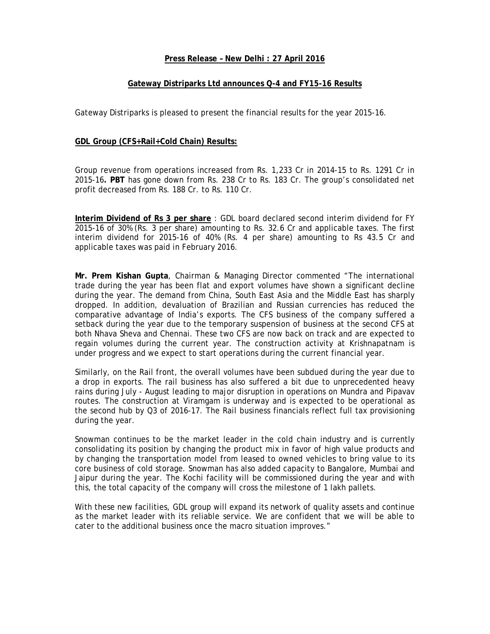# **Press Release – New Delhi : 27 April 2016**

# **Gateway Distriparks Ltd announces Q-4 and FY15-16 Results**

Gateway Distriparks is pleased to present the financial results for the year 2015-16.

# **GDL Group (CFS+Rail+Cold Chain) Results:**

Group revenue from operations increased from Rs. 1,233 Cr in 2014-15 to Rs. 1291 Cr in 2015-16**. PBT** has gone down from Rs. 238 Cr to Rs. 183 Cr. The group's consolidated net profit decreased from Rs. 188 Cr. to Rs. 110 Cr.

**Interim Dividend of Rs 3 per share** : GDL board declared second interim dividend for FY 2015-16 of 30% (Rs. 3 per share) amounting to Rs. 32.6 Cr and applicable taxes. The first interim dividend for 2015-16 of 40% (Rs. 4 per share) amounting to Rs 43.5 Cr and applicable taxes was paid in February 2016.

**Mr. Prem Kishan Gupta**, Chairman & Managing Director commented "The international trade during the year has been flat and export volumes have shown a significant decline during the year. The demand from China, South East Asia and the Middle East has sharply dropped. In addition, devaluation of Brazilian and Russian currencies has reduced the comparative advantage of India's exports. The CFS business of the company suffered a setback during the year due to the temporary suspension of business at the second CFS at both Nhava Sheva and Chennai. These two CFS are now back on track and are expected to regain volumes during the current year. The construction activity at Krishnapatnam is under progress and we expect to start operations during the current financial year.

Similarly, on the Rail front, the overall volumes have been subdued during the year due to a drop in exports. The rail business has also suffered a bit due to unprecedented heavy rains during July - August leading to major disruption in operations on Mundra and Pipavav routes. The construction at Viramgam is underway and is expected to be operational as the second hub by Q3 of 2016-17. The Rail business financials reflect full tax provisioning during the year.

Snowman continues to be the market leader in the cold chain industry and is currently consolidating its position by changing the product mix in favor of high value products and by changing the transportation model from leased to owned vehicles to bring value to its core business of cold storage. Snowman has also added capacity to Bangalore, Mumbai and Jaipur during the year. The Kochi facility will be commissioned during the year and with this, the total capacity of the company will cross the milestone of 1 lakh pallets.

With these new facilities, GDL group will expand its network of quality assets and continue as the market leader with its reliable service. We are confident that we will be able to cater to the additional business once the macro situation improves."